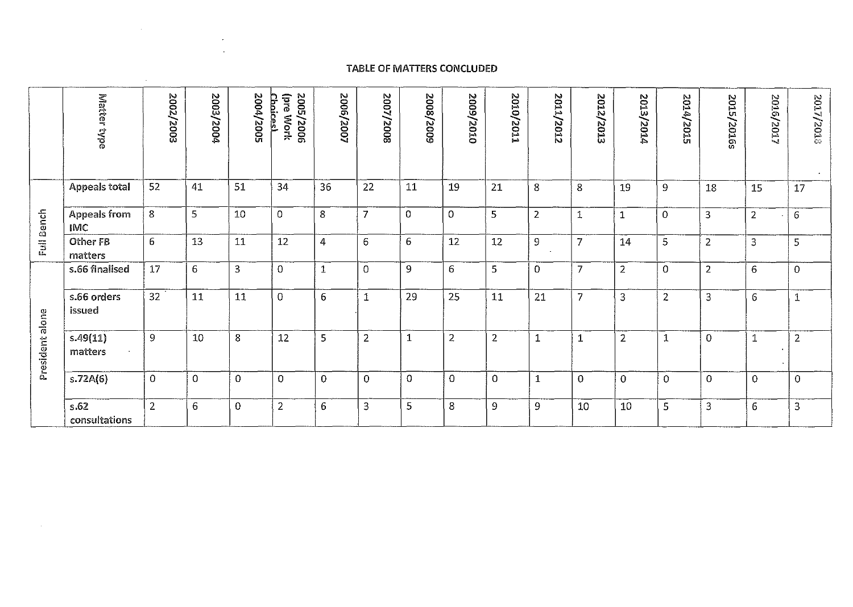## **TABLE OF MATTERS CONCLUDED**

 $\sim 10^{-1}$  $\sim 100$ 

 $\mathcal{L}_{\mathbf{a}}$  .

 $\sim 10^{-1}$ 

|                 | Matter type                       | 2002/2003 | 2003/2004 | 2004/2005 | 2005/2006<br><b>pre</b><br>p<br>F<br><b>Mork</b><br>R. | 2006/2007   | 2007/2008      | 2008/2005    | 2009/2010      | 2010/2011      | 2011/2012      | 202<br>12/2013 | $\Xi$<br>13/2014 | 2014/2015      | 2015/2016s              | 2016/2017      | 2017/2018      |
|-----------------|-----------------------------------|-----------|-----------|-----------|--------------------------------------------------------|-------------|----------------|--------------|----------------|----------------|----------------|----------------|------------------|----------------|-------------------------|----------------|----------------|
|                 | <b>Appeals total</b>              | 52        | 41        | 51        | 34                                                     | 36          | 22             | 11           | 19             | 21             | 8              | 8              | 19               | 9              | 18                      | 15             | 17             |
| Full Bench      | <b>Appeals from</b><br><b>IMC</b> | 8         | 5         | 10        | 0                                                      | 8           | $\overline{7}$ | $\mathbf 0$  | $\Omega$       | 5              | $\overline{2}$ |                | 1                | $\mathbf 0$    | $\overline{\mathbf{3}}$ | $\overline{2}$ | $\epsilon$     |
|                 | Other FB<br>matters               | 6         | 13        | 11        | 12                                                     | 4           | 6              | 6            | 12             | 12             | 9              | 7              | 14               | 5              | $\overline{2}$          | 3              | 5              |
|                 | s.66 finalised                    | 17        | 6         | 3         | $\mathbf 0$                                            | $\mathbf 1$ | $\mathbf{O}$   | 9            | 6              | 5              | 0              | 7              | $\overline{2}$   | $\Omega$       | $\overline{2}$          | 6              | $\Omega$       |
|                 | s.66 orders<br>issued             | 32        | 11        | 11        | $\mathbf{0}$                                           | 6           | $\mathbf{1}$   | 29           | 25             | 11             | 21             | 7              | 3                | $\overline{2}$ | 3                       | 6              | 1              |
| President alone | s.49(11)<br>matters               | 9         | 10        | 8         | 12                                                     | 5           | $\overline{2}$ | $\mathbf{1}$ | $\overline{2}$ | $\overline{2}$ | 1              | 1              | $\overline{2}$   | 1              | $\overline{0}$          | $\mathbf 1$    | $\overline{2}$ |
|                 | s.72A(6)                          | $\Omega$  | $\Omega$  | $\Omega$  | $\Omega$                                               | $\Omega$    | $\overline{0}$ | $\Omega$     | $\overline{0}$ | $\Omega$       | $\mathbf{1}$   | $\overline{0}$ | $\overline{O}$   | $\Omega$       | $\Omega$                | $\mathbf 0$    | $\overline{O}$ |
|                 | s.62<br>consultations             | 2         | 6         | $\Omega$  | $\overline{2}$                                         | 6           | 3              | 5            | 8              | 9              | 9              | 10             | 10               | 5              | 3                       | 6              | 3              |